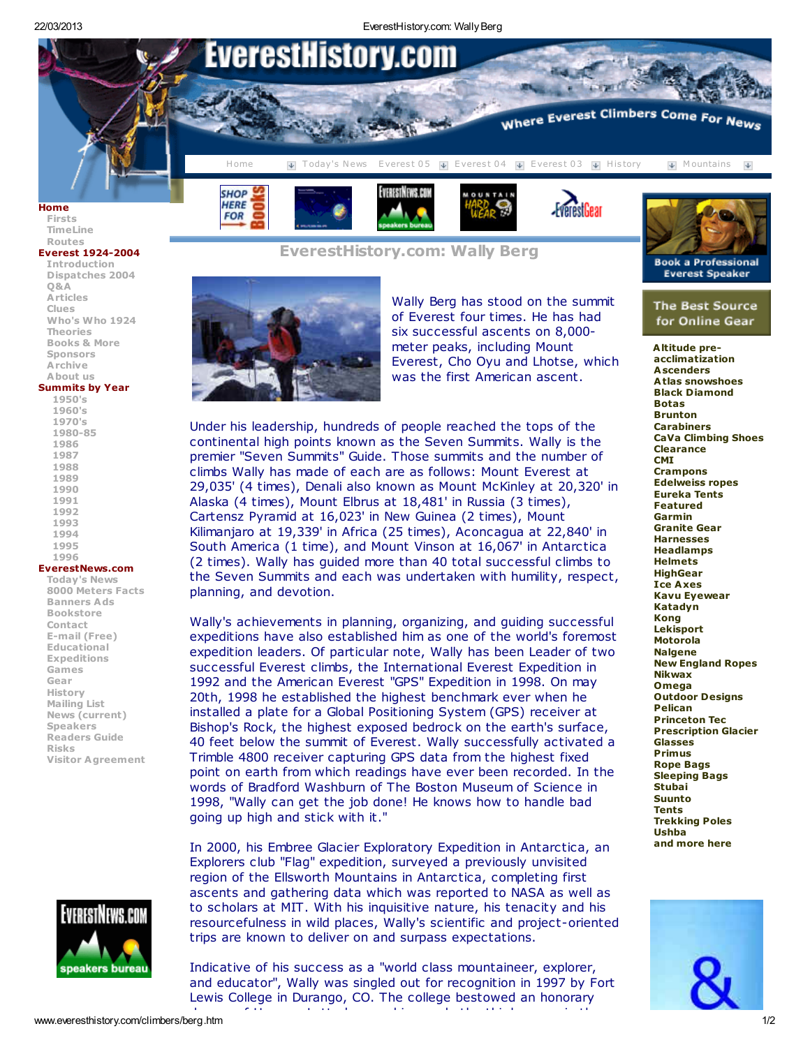22/03/2013 EverestHistory.com: WallyBerg



## [Routes](http://www.everesthistory.com/routes.htm) Everest [1924-2004](http://www.everestnews2004.com/malloryandirvine2004/malloryandirvine2004.htm)

[Introduction](http://www.everestnews2004.com/malloryandirvine2004/tomhintro20031.htm) [Dispatches](http://www.everestnews2004.com/malloryandirvine2004/dispatches.htm) 2004 [Q&A](http://www.everestnews2004.com/malloryandirvine2004/stories2004/qanda.htm) **[Articles](http://www.everestnews2004.com/malloryandirvine2004/stories2004/articles.htm)** [Clues](http://www.everestnews2004.com/malloryandirvine2004/stories2004/clues.htm) [Who's](http://www.everestnews2004.com/malloryandirvine2004/stories2004/whowho.htm) Who 1924 [Theories](http://www.everestnews2004.com/malloryandirvine2004/stories2004/theories.htm) [Books](http://www.everestnews2004.com/malloryandirvine2004/stories2004/booksandmore.htm) & More [Sponsors](http://www.everestnews2004.com/malloryandirvine2004/sponsors.htm) [Archive](http://www.everestnews2004.com/malloryandirvine2004/stories2004/archive.htm) [About](http://www.everestnews2004.com/malloryandirvine2004/stories2004/aboutus.htm) us [Summits](http://www.everesthistory.com/everestsummits/summitsbyyear.htm) by Year [1950's](http://www.everesthistory.com/everestsummits/summits50.htm) [1960's](http://www.everesthistory.com/everestsummits/summits60.htm)

## [Today's](http://www.everestnews2004.com/everest3.htm) News

8000 [Meters](http://www.everestnews.com/8000.htm) Facts [Banners](http://www.everestnews.com/stories024/contact.htm) Ads [Bookstore](http://store.everestgear.com/) [Contact](http://www.everestnews.com/stories024/contact.htm) E-mail [\(Free\)](http://partners.everyone.net/508468/email/scripts/unifiedlogin.pl?EV1=9795251355289969) [Educational](http://www.everestnews.com/lessonplan.htm) [Expeditions](http://www.everestnews.com/expeditions.htm) [Games](http://www.mnteverest.net/games.htm) [Gear](http://store.everestgear.com/) [History](http://www.everesthistory.com/) [Mailing](http://www.everestnews.com/mailinglist.htm) List News [\(current\)](http://www.everestnews2004.com/everest3.htm) [Speakers](http://www.everestspeakersbureau.com/) [Readers](http://www.everestnews.com/nrg.htm) Guide [Risks](http://www.everestnews.com/risks.htm) Visitor [Agreement](http://www.everestnews.com/disclaim.htm)



# EverestHistory.com: Wally Berg



Wally Berg has stood on the summit of Everest four times. He has had six successful ascents on 8,000 meter peaks, including Mount Everest, Cho Oyu and Lhotse, which was the first American ascent.

Under his leadership, hundreds of people reached the tops of the continental high points known as the Seven Summits. Wally is the premier "Seven Summits" Guide. Those summits and the number of climbs Wally has made of each are as follows: Mount Everest at 29,035' (4 times), Denali also known as Mount McKinley at 20,320' in Alaska (4 times), Mount Elbrus at 18,481' in Russia (3 times), Cartensz Pyramid at 16,023' in New Guinea (2 times), Mount Kilimanjaro at 19,339' in Africa (25 times), Aconcagua at 22,840' in South America (1 time), and Mount Vinson at 16,067' in Antarctica (2 times). Wally has guided more than 40 total successful climbs to the Seven Summits and each was undertaken with humility, respect, planning, and devotion.

Wally's achievements in planning, organizing, and guiding successful expeditions have also established him as one of the world's foremost expedition leaders. Of particular note, Wally has been Leader of two successful Everest climbs, the International Everest Expedition in 1992 and the American Everest "GPS" Expedition in 1998. On may 20th, 1998 he established the highest benchmark ever when he installed a plate for a Global Positioning System (GPS) receiver at Bishop's Rock, the highest exposed bedrock on the earth's surface, 40 feet below the summit of Everest. Wally successfully activated a Trimble 4800 receiver capturing GPS data from the highest fixed point on earth from which readings have ever been recorded. In the words of Bradford Washburn of The Boston Museum of Science in 1998, "Wally can get the job done! He knows how to handle bad going up high and stick with it."

In 2000, his Embree Glacier Exploratory Expedition in Antarctica, an Explorers club "Flag" expedition, surveyed a previously unvisited region of the Ellsworth Mountains in Antarctica, completing first ascents and gathering data which was reported to NASA as well as to scholars at MIT. With his inquisitive nature, his tenacity and his resourcefulness in wild places, Wally's scientific and project-oriented trips are known to deliver on and surpass expectations.

Indicative of his success as a "world class mountaineer, explorer, and educator", Wally was singled out for recognition in 1997 by Fort Lewis College in Durango, CO. The college bestowed an honorary degree of Humane Letter's upon him - only the third person in the third person in the third person in the thir<br>- only the third



The Best Source for Online Gear

[Altitude](http://store.everestgear.com/) pre[acclimatization](http://store.everestgear.com/) **[Ascenders](http://store.everestgear.com/climbing---mountaineering-ascenders.html)** Atlas [snowshoes](http://store.everestgear.com/brand--atlas.html) Black [Diamond](http://store.everestgear.com/brand--black-diamond.html) [Botas](http://store.everestgear.com/water-products---botas.html) [Brunton](http://store.everestgear.com/featured--brunton.html) [Carabiners](http://store.everestgear.com/climbing---mountaineering--carabiners.html) CaVa [Climbing](http://store.everestgear.com/brand--cava.html) Shoes [Clearance](http://store.everestgear.com/featured--clearance.html) **[CMI](http://store.everestgear.com/brand--cmi.html) [Crampons](http://store.everestgear.com/climbing---mountaineering--crampons.html)** [Edelweiss](http://store.everestgear.com/brands--edelweiss.html) ropes [Eureka](http://store.everestgear.com/brand--eureka.html) Tents [Featured](http://store.everestgear.com/featured.html) [Garmin](http://store.everestgear.com/brand--garmin.html) [Granite](http://store.everestgear.com/brand--granite-gear.html) Gear [Harnesses](http://store.everestgear.com/climbing---mountaineering---harnesses.html) [Headlamps](http://store.everestgear.com/climbing---mountaineering--headlamps.html) [Helmets](http://store.everestgear.com/climbing---mountaineering--helmets.html) **[HighGear](http://store.everestgear.com/brand---highgear.html)** Ice [Axes](http://store.everestgear.com/climbing---mountaineering--ice-axes.html) Kavu [Eyewear](http://store.everestgear.com/brand---kavu.html) [Katadyn](http://store.everestgear.com/brand--katadyn.html) [Kong](http://store.everestgear.com/brand--kong.html) [Lekisport](http://store.everestgear.com/brand--lekisport.html) [Motorola](http://store.everestgear.com/brand--motorola.html) **[Nalgene](http://store.everestgear.com/brand---nalgene.html)** New [England](http://store.everestgear.com/brand--new-england.html) Ropes [Nikwax](http://store.everestgear.com/brand---nikwax.html) [Omega](http://store.everestgear.com/brand--omega.html) [Outdoor](http://store.everestgear.com/brand--outdoor-designs.html) Designs [Pelican](http://store.everestgear.com/brand---pelican.html) [Princeton](http://store.everestgear.com/brand--princeton-tec.html) Tec [Prescription](http://store.everestgear.com/) [Glacier](http://store.everestgear.com/) [Glasses](http://store.everestgear.com/) [Primus](http://store.everestgear.com/brand--primus.html) [Rope](http://store.everestgear.com/climbing---mountaineering--rope-bags.html) Bags [Sleeping](http://store.everestgear.com/sleepingbags.html) Bags [Stubai](http://store.everestgear.com/brand--stubai.html) [Suunto](http://store.everestgear.com/brand--suunto.html) **[Tents](http://store.everestgear.com/climbing---mountaineering--tents.html)** [Trekking](http://store.everestgear.com/climbing---mountaineering--trekking-poles.html) Poles [Ushba](http://store.everestgear.com/ushba.html) and [more](http://store.everestgear.com/) here